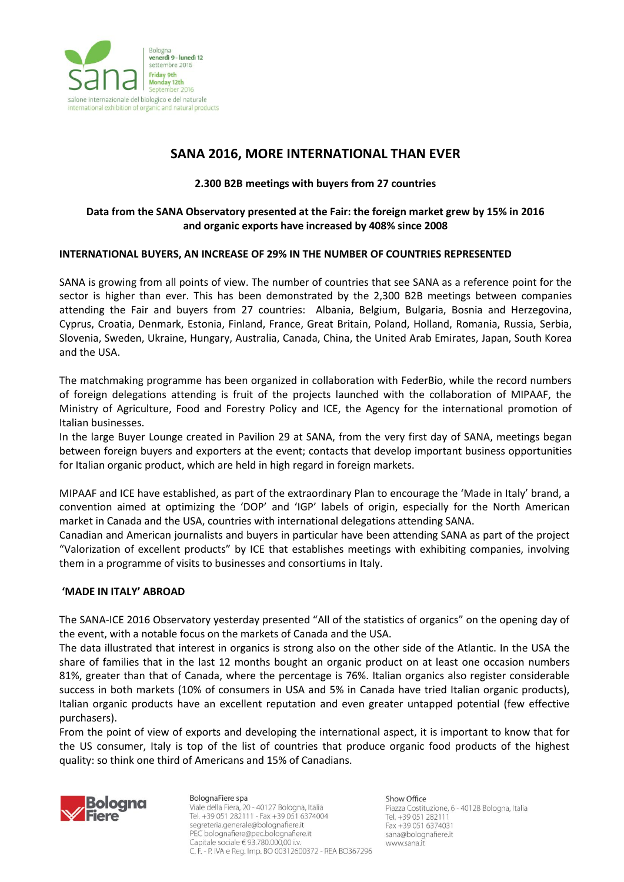

# **SANA 2016, MORE INTERNATIONAL THAN EVER**

## **2.300 B2B meetings with buyers from 27 countries**

## **Data from the SANA Observatory presented at the Fair: the foreign market grew by 15% in 2016 and organic exports have increased by 408% since 2008**

### **INTERNATIONAL BUYERS, AN INCREASE OF 29% IN THE NUMBER OF COUNTRIES REPRESENTED**

SANA is growing from all points of view. The number of countries that see SANA as a reference point for the sector is higher than ever. This has been demonstrated by the 2,300 B2B meetings between companies attending the Fair and buyers from 27 countries: Albania, Belgium, Bulgaria, Bosnia and Herzegovina, Cyprus, Croatia, Denmark, Estonia, Finland, France, Great Britain, Poland, Holland, Romania, Russia, Serbia, Slovenia, Sweden, Ukraine, Hungary, Australia, Canada, China, the United Arab Emirates, Japan, South Korea and the USA.

The matchmaking programme has been organized in collaboration with FederBio, while the record numbers of foreign delegations attending is fruit of the projects launched with the collaboration of MIPAAF, the Ministry of Agriculture, Food and Forestry Policy and ICE, the Agency for the international promotion of Italian businesses.

In the large Buyer Lounge created in Pavilion 29 at SANA, from the very first day of SANA, meetings began between foreign buyers and exporters at the event; contacts that develop important business opportunities for Italian organic product, which are held in high regard in foreign markets.

MIPAAF and ICE have established, as part of the extraordinary Plan to encourage the 'Made in Italy' brand, a convention aimed at optimizing the 'DOP' and 'IGP' labels of origin, especially for the North American market in Canada and the USA, countries with international delegations attending SANA.

Canadian and American journalists and buyers in particular have been attending SANA as part of the project "Valorization of excellent products" by ICE that establishes meetings with exhibiting companies, involving them in a programme of visits to businesses and consortiums in Italy.

### **'MADE IN ITALY' ABROAD**

The SANA-ICE 2016 Observatory yesterday presented "All of the statistics of organics" on the opening day of the event, with a notable focus on the markets of Canada and the USA.

The data illustrated that interest in organics is strong also on the other side of the Atlantic. In the USA the share of families that in the last 12 months bought an organic product on at least one occasion numbers 81%, greater than that of Canada, where the percentage is 76%. Italian organics also register considerable success in both markets (10% of consumers in USA and 5% in Canada have tried Italian organic products), Italian organic products have an excellent reputation and even greater untapped potential (few effective purchasers).

From the point of view of exports and developing the international aspect, it is important to know that for the US consumer, Italy is top of the list of countries that produce organic food products of the highest quality: so think one third of Americans and 15% of Canadians.



BolognaFiere spa Viale della Fiera, 20 - 40127 Bologna, Italia Tel. +39 051 282111 - Fax +39 051 6374004 segreteria.generale@bolognafiere.it PEC bolognafiere@pec.bolognafiere.it Capitale sociale  $\in$  93.780.000.00 i.v. C. F. - P. IVA e Reg. Imp. BO 00312600372 - REA BO367296 Show Office

Piazza Costituzione, 6 - 40128 Bologna, Italia Tel. +39 051 282111 Fax +39 051 6374031 sana@bolognafiere.it www.sana.it